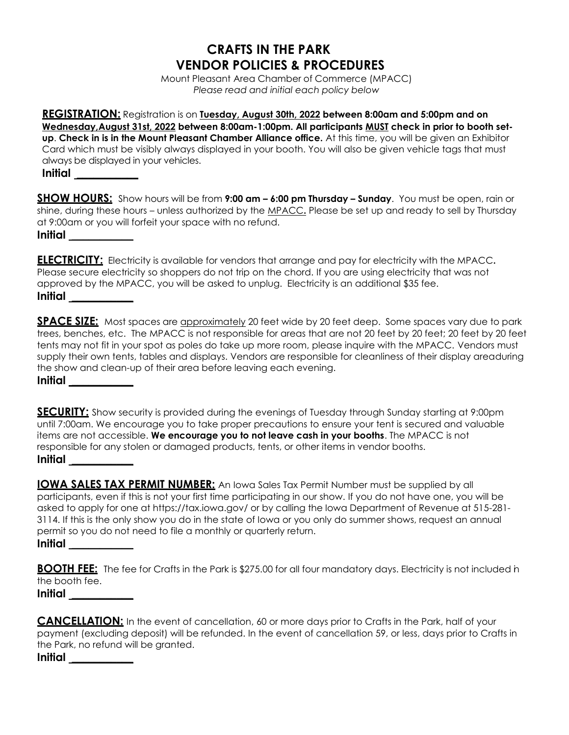## **CRAFTS IN THE PARK VENDOR POLICIES & PROCEDURES**

Mount Pleasant Area Chamber of Commerce (MPACC) *Please read and initial each policy below*

**REGISTRATION:** Registration is on **Tuesday, August 30th, 2022 between 8:00am and 5:00pm and on Wednesday,August 31st, 2022 between 8:00am-1:00pm. All participants MUST check in prior to booth setup**. **Check in is in the Mount Pleasant Chamber Alliance office.** At this time, you will be given an Exhibitor Card which must be visibly always displayed in your booth. You will also be given vehicle tags that must always be displayed in your vehicles. **Initial \_\_\_\_\_\_\_\_\_\_\_**

**SHOW HOURS:** Show hours will be from **9:00 am – 6:00 pm Thursday – Sunday**. You must be open, rain or shine, during these hours – unless authorized by the MPACC**.** Please be set up and ready to sell by Thursday at 9:00am or you will forfeit your space with no refund. **Initial \_\_\_\_\_\_\_\_\_\_\_**

**ELECTRICITY:** Electricity is available for vendors that arrange and pay for electricity with the MPACC**.** Please secure electricity so shoppers do not trip on the chord. If you are using electricity that was not approved by the MPACC, you will be asked to unplug. Electricity is an additional \$35 fee. **Initial \_\_\_\_\_\_\_\_\_\_\_**

**SPACE SIZE:** Most spaces are approximately 20 feet wide by 20 feet deep. Some spaces vary due to park trees, benches, etc. The MPACC is not responsible for areas that are not 20 feet by 20 feet; 20 feet by 20 feet tents may not fit in your spot as poles do take up more room, please inquire with the MPACC. Vendors must supply their own tents, tables and displays. Vendors are responsible for cleanliness of their display areaduring the show and clean-up of their area before leaving each evening. **Initial \_\_\_\_\_\_\_\_\_\_\_**

**SECURITY:** Show security is provided during the evenings of Tuesday through Sunday starting at 9:00pm until 7:00am. We encourage you to take proper precautions to ensure your tent is secured and valuable items are not accessible. **We encourage you to not leave cash in your booths**. The MPACC is not responsible for any stolen or damaged products, tents, or other items in vendor booths. **Initial \_\_\_\_\_\_\_\_\_\_\_**

**IOWA SALES TAX PERMIT NUMBER:** An Iowa Sales Tax Permit Number must be supplied by all participants, even if this is not your first time participating in our show. If you do not have one, you will be asked to apply for one at https://tax.iowa.gov/ or by calling the Iowa Department of Revenue at 515-281- 3114. If this is the only show you do in the state of Iowa or you only do summer shows, request an annual permit so you do not need to file a monthly or quarterly return. **Initial \_\_\_\_\_\_\_\_\_\_\_**

**BOOTH FEE:** The fee for Crafts in the Park is \$275.00 for all four mandatory days. Electricity is not included in the booth fee.

**Initial \_\_\_\_\_\_\_\_\_\_\_**

**CANCELLATION:** In the event of cancellation, 60 or more days prior to Crafts in the Park, half of your payment (excluding deposit) will be refunded. In the event of cancellation 59, or less, days prior to Crafts in the Park, no refund will be granted.

**Initial \_\_\_\_\_\_\_\_\_\_\_**